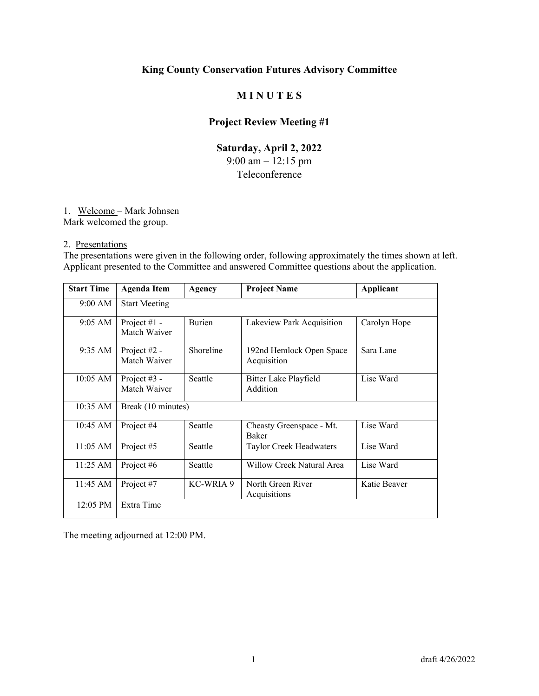# **M I N U T E S**

# **Project Review Meeting #1**

# **Saturday, April 2, 2022**  9:00 am – 12:15 pm Teleconference

#### 1. Welcome – Mark Johnsen

Mark welcomed the group.

#### 2. Presentations

The presentations were given in the following order, following approximately the times shown at left. Applicant presented to the Committee and answered Committee questions about the application.

| <b>Start Time</b>  | <b>Agenda Item</b>             | Agency        | <b>Project Name</b>                      | Applicant    |  |
|--------------------|--------------------------------|---------------|------------------------------------------|--------------|--|
| 9:00 AM            | <b>Start Meeting</b>           |               |                                          |              |  |
| $9:05 \text{ AM}$  | Project $#1 -$<br>Match Waiver | <b>Burien</b> | Lakeview Park Acquisition                | Carolyn Hope |  |
| $9:35 \text{ AM}$  | Project $#2 -$<br>Match Waiver | Shoreline     | 192nd Hemlock Open Space<br>Acquisition  | Sara Lane    |  |
| $10:05$ AM         | Project $#3 -$<br>Match Waiver | Seattle       | Bitter Lake Playfield<br>Addition        | Lise Ward    |  |
| $10:35 \text{ AM}$ | Break (10 minutes)             |               |                                          |              |  |
| $10:45 \text{ AM}$ | Project #4                     | Seattle       | Cheasty Greenspace - Mt.<br><b>Baker</b> | Lise Ward    |  |
| $11:05 \text{ AM}$ | Project #5                     | Seattle       | Taylor Creek Headwaters                  | Lise Ward    |  |
| 11:25 AM           | Project #6                     | Seattle       | Willow Creek Natural Area                | Lise Ward    |  |
| 11:45 AM           | Project #7                     | KC-WRIA 9     | North Green River<br>Acquisitions        | Katie Beaver |  |
| 12:05 PM           | Extra Time                     |               |                                          |              |  |

The meeting adjourned at 12:00 PM.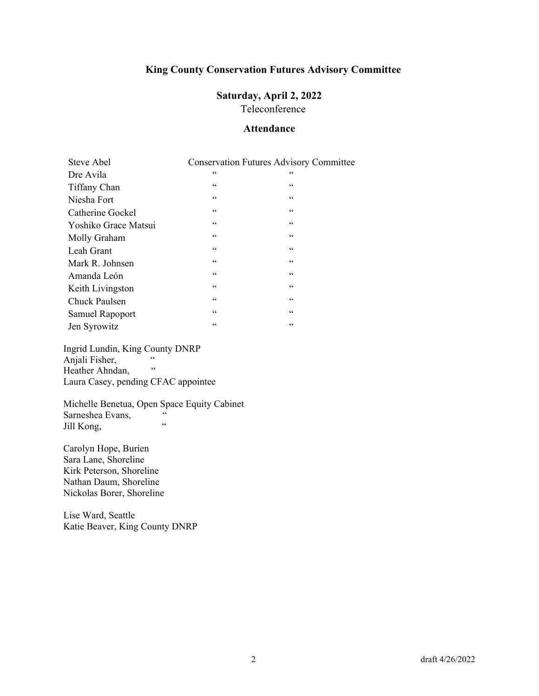# **Saturday, April 2, 2022**

Teleconference

#### **Attendance**

| Steve Abel           |                 | <b>Conservation Futures Advisory Committee</b> |
|----------------------|-----------------|------------------------------------------------|
| Dre Avila            | $\zeta$ $\zeta$ | 66                                             |
| Tiffany Chan         | $\mbox{\bf 6}$  | $\mbox{\bf 6}$                                 |
| Niesha Fort          | $\mbox{\bf 6}$  | $\mbox{\bf 6}$                                 |
| Catherine Gockel     | $\zeta$ $\zeta$ | $\zeta \, \zeta$                               |
| Yoshiko Grace Matsui | 66              | 66                                             |
| Molly Graham         | $\zeta$ $\zeta$ | $\mbox{\bf 6}$                                 |
| Leah Grant           | 66              | 66                                             |
| Mark R. Johnsen      | $\zeta$ $\zeta$ | $\zeta$ $\zeta$                                |
| Amanda León          | $\zeta$ $\zeta$ | $\zeta \zeta$                                  |
| Keith Livingston     | 66              | 66                                             |
| Chuck Paulsen        | 66              | 66                                             |
| Samuel Rapoport      | 66              | 66                                             |
| Jen Syrowitz         | $\mbox{\bf 6}$  | 66                                             |

Ingrid Lundin, King County DNRP Anjali Fisher, " Heather Ahndan, Laura Casey, pending CFAC appointee

Michelle Benetua, Open Space Equity Cabinet<br>Sarnashea Evans Sarneshea Evans,  $\frac{a}{a}$ Jill Kong,

Carolyn Hope, Burien Sara Lane, Shoreline Kirk Peterson, Shoreline Nathan Daum, Shoreline Nickolas Borer, Shoreline

Lise Ward, Seattle Katie Beaver, King County DNRP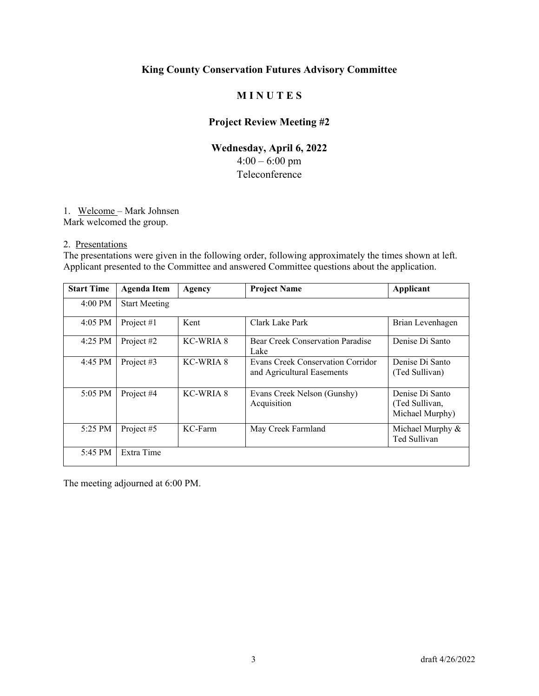# **M I N U T E S**

# **Project Review Meeting #2**

# **Wednesday, April 6, 2022**   $4:00 - 6:00$  pm Teleconference

#### 1. Welcome – Mark Johnsen

Mark welcomed the group.

#### 2. Presentations

The presentations were given in the following order, following approximately the times shown at left. Applicant presented to the Committee and answered Committee questions about the application.

| <b>Start Time</b> | <b>Agenda Item</b>   | Agency     | <b>Project Name</b>                                             | Applicant                                            |
|-------------------|----------------------|------------|-----------------------------------------------------------------|------------------------------------------------------|
| $4:00 \text{ PM}$ | <b>Start Meeting</b> |            |                                                                 |                                                      |
| $4:05$ PM         | Project #1           | Kent       | Clark Lake Park                                                 | Brian Levenhagen                                     |
| 4:25 PM           | Project #2           | KC-WRIA 8  | Bear Creek Conservation Paradise<br>Lake                        | Denise Di Santo                                      |
| 4:45 PM           | Project #3           | KC-WRIA 8  | Evans Creek Conservation Corridor<br>and Agricultural Easements | Denise Di Santo<br>(Ted Sullivan)                    |
| 5:05 PM           | Project #4           | KC-WRIA 8  | Evans Creek Nelson (Gunshy)<br>Acquisition                      | Denise Di Santo<br>(Ted Sullivan,<br>Michael Murphy) |
| 5:25 PM           | Project #5           | $KC$ -Farm | May Creek Farmland                                              | Michael Murphy &<br>Ted Sullivan                     |
| 5:45 PM           | Extra Time           |            |                                                                 |                                                      |

The meeting adjourned at 6:00 PM.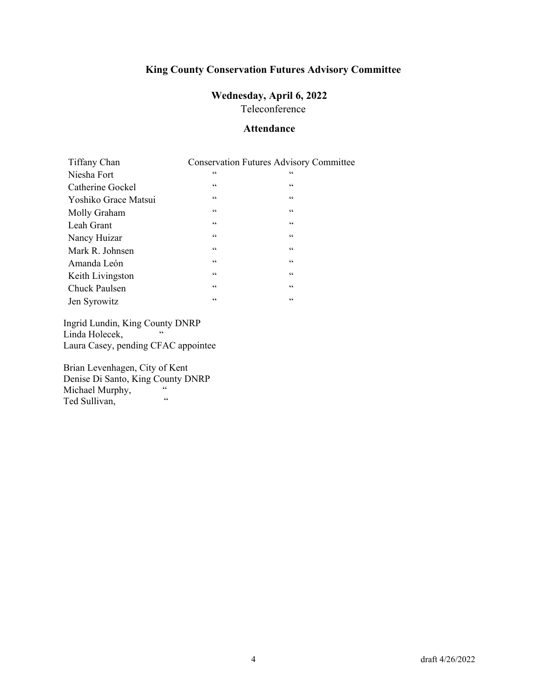# **Wednesday, April 6, 2022**

Teleconference

#### **Attendance**

| Tiffany Chan         |                      | <b>Conservation Futures Advisory Committee</b> |
|----------------------|----------------------|------------------------------------------------|
| Niesha Fort          | $\zeta$ $\zeta$      | 66                                             |
| Catherine Gockel     | $\zeta$ $\zeta$      | $\zeta$ $\zeta$                                |
| Yoshiko Grace Matsui | $\zeta$ $\zeta$      | $\zeta$ $\zeta$                                |
| Molly Graham         | $\mbox{\bf 6}$       | $\zeta \zeta$                                  |
| Leah Grant           | $\mbox{\bf 6}$       | 66                                             |
| Nancy Huizar         | $\mbox{\bf 6}$       | $\zeta \zeta$                                  |
| Mark R. Johnsen      | $\mbox{G}\,\mbox{G}$ | $\zeta \zeta$                                  |
| Amanda León          | $\mbox{\bf 6}$       | $\zeta \zeta$                                  |
| Keith Livingston     | $\mbox{\bf 6}$       | $\zeta \zeta$                                  |
| Chuck Paulsen        | $\mbox{\bf 6}$       | $\mbox{\bf 6}$                                 |
| Jen Syrowitz         | 66                   | 66                                             |

Ingrid Lundin, King County DNRP Linda Holecek, Laura Casey, pending CFAC appointee

Brian Levenhagen, City of Kent Denise Di Santo, King County DNRP Michael Murphy,  $\frac{6}{100}$   $\frac{40}{100}$   $\frac{1}{100}$ Ted Sullivan,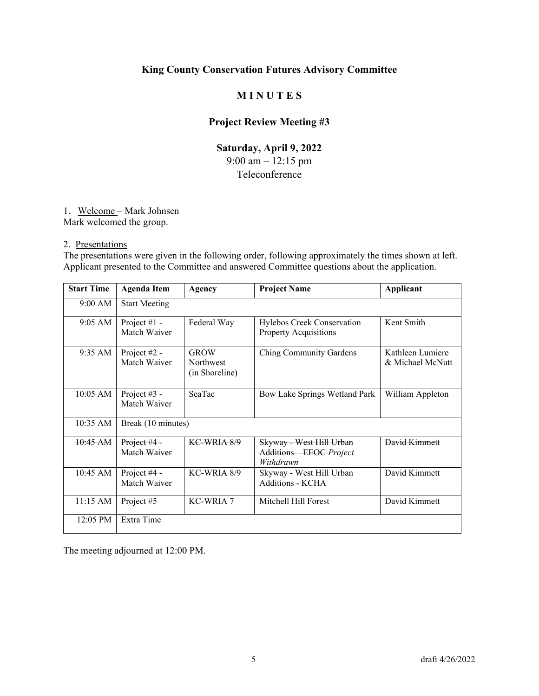# **M I N U T E S**

# **Project Review Meeting #3**

# **Saturday, April 9, 2022**  9:00 am – 12:15 pm Teleconference

1. Welcome – Mark Johnsen

Mark welcomed the group.

2. Presentations

The presentations were given in the following order, following approximately the times shown at left. Applicant presented to the Committee and answered Committee questions about the application.

| <b>Start Time</b>  | <b>Agenda Item</b>             | Agency                                     | <b>Project Name</b>                                             | Applicant                            |
|--------------------|--------------------------------|--------------------------------------------|-----------------------------------------------------------------|--------------------------------------|
| 9:00 AM            | <b>Start Meeting</b>           |                                            |                                                                 |                                      |
| 9:05 AM            | Project $#1 -$<br>Match Waiver | Federal Way                                | Hylebos Creek Conservation<br><b>Property Acquisitions</b>      | Kent Smith                           |
| 9:35 AM            | Project #2 -<br>Match Waiver   | <b>GROW</b><br>Northwest<br>(in Shoreline) | Ching Community Gardens                                         | Kathleen Lumiere<br>& Michael McNutt |
| $10:05$ AM         | Project #3 -<br>Match Waiver   | SeaTac                                     | Bow Lake Springs Wetland Park                                   | William Appleton                     |
| 10:35 AM           | Break (10 minutes)             |                                            |                                                                 |                                      |
| $10:45 \text{ AM}$ | Project #4 -<br>Match Waiver   | KC-WRIA 8/9                                | Skyway - West Hill Urban<br>Additions EEOC-Project<br>Withdrawn | David Kimmett                        |
| 10:45 AM           | Project #4 -<br>Match Waiver   | KC-WRIA 8/9                                | Skyway - West Hill Urban<br><b>Additions - KCHA</b>             | David Kimmett                        |
| $11:15$ AM         | Project #5                     | <b>KC-WRIA 7</b>                           | Mitchell Hill Forest                                            | David Kimmett                        |
| 12:05 PM           | Extra Time                     |                                            |                                                                 |                                      |

The meeting adjourned at 12:00 PM.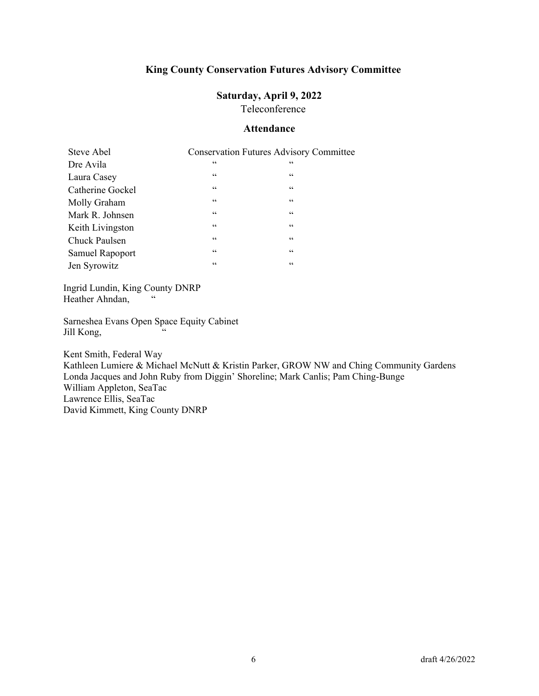# **Saturday, April 9, 2022**

Teleconference

#### **Attendance**

| Steve Abel       |                 | <b>Conservation Futures Advisory Committee</b> |
|------------------|-----------------|------------------------------------------------|
| Dre Avila        | $\zeta$ $\zeta$ | $\textsf{G}\,\textsf{G}$                       |
| Laura Casey      | 66              | $\mbox{\bf 6}$                                 |
| Catherine Gockel | $\zeta \zeta$   | $\mbox{\bf 6}$                                 |
| Molly Graham     | $\zeta \zeta$   | $\mbox{\bf 6}$                                 |
| Mark R. Johnsen  | $\zeta \zeta$   | $\mbox{\bf 6}$                                 |
| Keith Livingston | $\zeta \zeta$   | $\mbox{\bf 6}$                                 |
| Chuck Paulsen    | $\zeta \zeta$   | $\mbox{\bf 6}$                                 |
| Samuel Rapoport  | 66              | $\mbox{\bf 6}$                                 |
| Jen Syrowitz     | 66              | $\mbox{\bf 6}$                                 |

Ingrid Lundin, King County DNRP Heather Ahndan,

Sarneshea Evans Open Space Equity Cabinet Jill Kong, "

Kent Smith, Federal Way Kathleen Lumiere & Michael McNutt & Kristin Parker, GROW NW and Ching Community Gardens Londa Jacques and John Ruby from Diggin' Shoreline; Mark Canlis; Pam Ching-Bunge William Appleton, SeaTac Lawrence Ellis, SeaTac David Kimmett, King County DNRP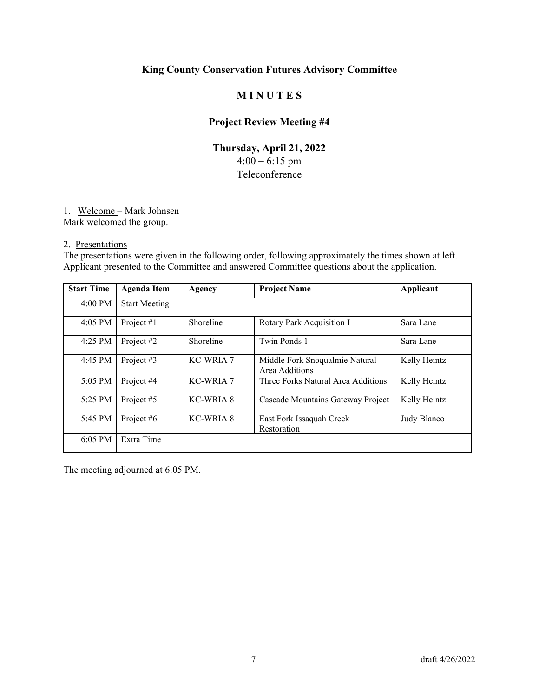# **M I N U T E S**

# **Project Review Meeting #4**

# **Thursday, April 21, 2022**   $4:00 - 6:15$  pm Teleconference

#### 1. Welcome – Mark Johnsen

Mark welcomed the group.

#### 2. Presentations

The presentations were given in the following order, following approximately the times shown at left. Applicant presented to the Committee and answered Committee questions about the application.

| <b>Start Time</b> | <b>Agenda Item</b>   | Agency           | <b>Project Name</b>                              | Applicant    |
|-------------------|----------------------|------------------|--------------------------------------------------|--------------|
| $4:00$ PM         | <b>Start Meeting</b> |                  |                                                  |              |
| 4:05 PM           | Project #1           | Shoreline        | Rotary Park Acquisition I                        | Sara Lane    |
| 4:25 PM           | Project #2           | Shoreline        | Twin Ponds 1                                     | Sara Lane    |
| 4:45 PM           | Project #3           | <b>KC-WRIA 7</b> | Middle Fork Snoqualmie Natural<br>Area Additions | Kelly Heintz |
| 5:05 PM           | Project #4           | KC-WRIA 7        | Three Forks Natural Area Additions               | Kelly Heintz |
| 5:25 PM           | Project #5           | KC-WRIA 8        | Cascade Mountains Gateway Project                | Kelly Heintz |
| 5:45 PM           | Project #6           | KC-WRIA 8        | East Fork Issaquah Creek<br>Restoration          | Judy Blanco  |
| 6:05 PM           | Extra Time           |                  |                                                  |              |

The meeting adjourned at 6:05 PM.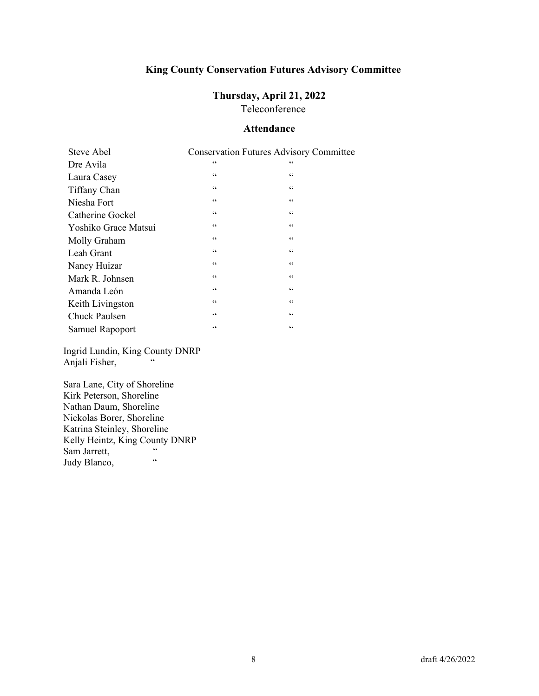# **Thursday, April 21, 2022**

Teleconference

#### **Attendance**

| Steve Abel           |                 | <b>Conservation Futures Advisory Committee</b> |
|----------------------|-----------------|------------------------------------------------|
| Dre Avila            | $\zeta$ $\zeta$ | $\mbox{\bf 6}$                                 |
| Laura Casey          | $\mbox{\bf 6}$  | $\zeta$ $\zeta$                                |
| Tiffany Chan         | $\mbox{\bf 6}$  | $\mbox{\bf 6}$                                 |
| Niesha Fort          | $\mbox{\bf 6}$  | $\mbox{\bf 6}$                                 |
| Catherine Gockel     | $\mbox{\bf 6}$  | $\mbox{\bf 6}$                                 |
| Yoshiko Grace Matsui | $\mbox{\bf 6}$  | $\mbox{\bf 6}$                                 |
| Molly Graham         | $\mbox{\bf 6}$  | $\mbox{\bf 6}$                                 |
| Leah Grant           | $\mbox{\bf 6}$  | $\mbox{\bf 6}$                                 |
| Nancy Huizar         | $\mbox{\bf 6}$  | $\mbox{\bf 6}$                                 |
| Mark R. Johnsen      | $\mbox{\bf 6}$  | $\mbox{\bf 6}$                                 |
| Amanda León          | $\mbox{\bf 6}$  | $\mbox{\bf 6}$                                 |
| Keith Livingston     | $\mbox{\bf 6}$  | $\zeta$ $\zeta$                                |
| <b>Chuck Paulsen</b> | $\mbox{\bf 6}$  | $\mbox{\bf 6}$                                 |
| Samuel Rapoport      | $\mbox{\bf 6}$  | $\mbox{\bf 6}$                                 |

Ingrid Lundin, King County DNRP Anjali Fisher,

Sara Lane, City of Shoreline Kirk Peterson, Shoreline Nathan Daum, Shoreline Nickolas Borer, Shoreline Katrina Steinley, Shoreline Kelly Heintz, King County DNRP Sam Jarrett, " Judy Blanco,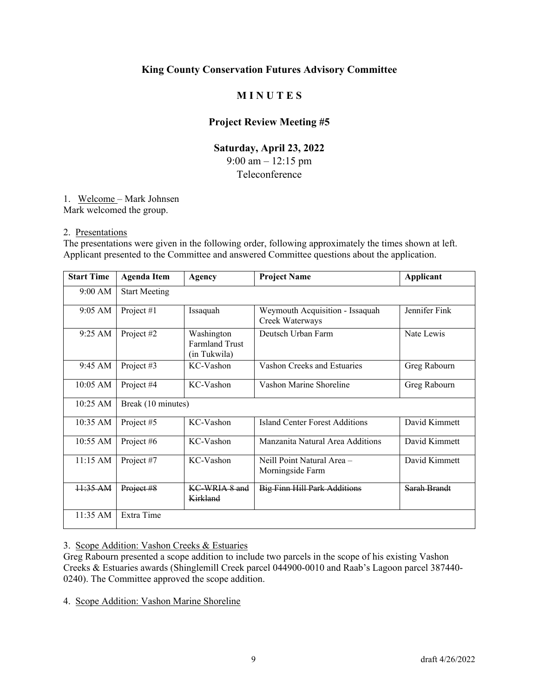# **M I N U T E S**

### **Project Review Meeting #5**

# **Saturday, April 23, 2022**  9:00 am – 12:15 pm

#### Teleconference

#### 1. Welcome – Mark Johnsen

Mark welcomed the group.

#### 2. Presentations

The presentations were given in the following order, following approximately the times shown at left. Applicant presented to the Committee and answered Committee questions about the application.

| <b>Start Time</b>  | <b>Agenda Item</b>   | <b>Agency</b>                                       | <b>Project Name</b>                                | <b>Applicant</b> |
|--------------------|----------------------|-----------------------------------------------------|----------------------------------------------------|------------------|
| 9:00 AM            | <b>Start Meeting</b> |                                                     |                                                    |                  |
| 9:05 AM            | Project #1           | Issaquah                                            | Weymouth Acquisition - Issaquah<br>Creek Waterways | Jennifer Fink    |
| 9:25 AM            | Project #2           | Washington<br><b>Farmland Trust</b><br>(in Tukwila) | Deutsch Urban Farm                                 | Nate Lewis       |
| $9:45 \text{ AM}$  | Project #3           | KC-Vashon                                           | Vashon Creeks and Estuaries                        | Greg Rabourn     |
| 10:05 AM           | Project #4           | KC-Vashon                                           | Vashon Marine Shoreline                            | Greg Rabourn     |
| 10:25 AM           | Break (10 minutes)   |                                                     |                                                    |                  |
| $10:35 \text{ AM}$ | Project #5           | KC-Vashon                                           | Island Center Forest Additions                     | David Kimmett    |
| 10:55 AM           | Project #6           | KC-Vashon                                           | Manzanita Natural Area Additions                   | David Kimmett    |
| 11:15 AM           | Project #7           | KC-Vashon                                           | Neill Point Natural Area -<br>Morningside Farm     | David Kimmett    |
| $11:35 \text{ AM}$ | Project #8           | KC-WRIA 8 and<br>Kirkland                           | <b>Big Finn Hill Park Additions</b>                | Sarah Brandt     |
| 11:35 AM           | Extra Time           |                                                     |                                                    |                  |

#### 3. Scope Addition: Vashon Creeks & Estuaries

Greg Rabourn presented a scope addition to include two parcels in the scope of his existing Vashon Creeks & Estuaries awards (Shinglemill Creek parcel 044900-0010 and Raab's Lagoon parcel 387440- 0240). The Committee approved the scope addition.

4. Scope Addition: Vashon Marine Shoreline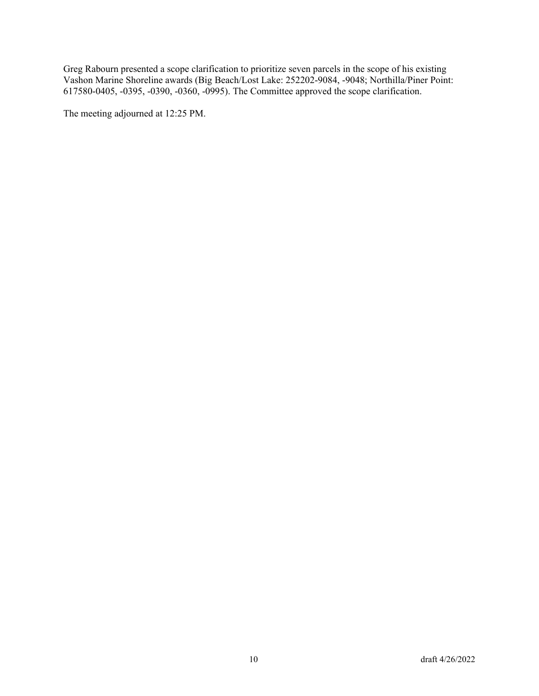Greg Rabourn presented a scope clarification to prioritize seven parcels in the scope of his existing Vashon Marine Shoreline awards (Big Beach/Lost Lake: 252202-9084, -9048; Northilla/Piner Point: 617580-0405, -0395, -0390, -0360, -0995). The Committee approved the scope clarification.

The meeting adjourned at 12:25 PM.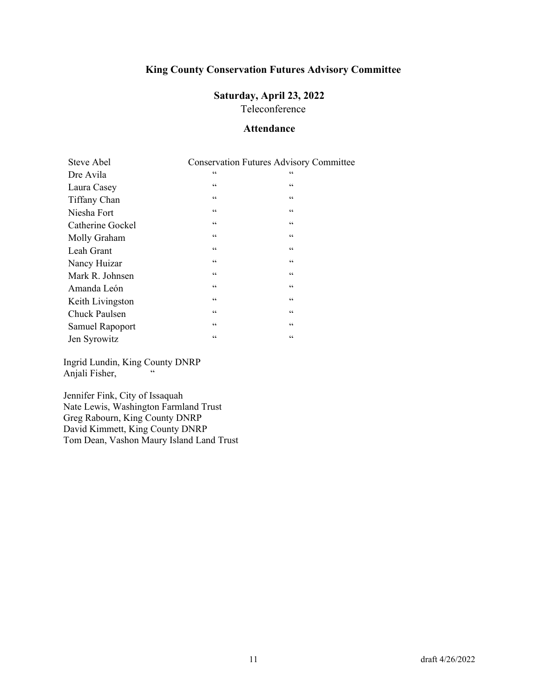#### **Saturday, April 23, 2022** Teleconference

#### **Attendance**

| Steve Abel             |                 | <b>Conservation Futures Advisory Committee</b> |
|------------------------|-----------------|------------------------------------------------|
| Dre Avila              | $\zeta$ $\zeta$ | 66                                             |
| Laura Casey            | $\mbox{\bf 6}$  | $\mbox{\bf 6}$                                 |
| Tiffany Chan           | $\zeta$ $\zeta$ | $\zeta$ $\zeta$                                |
| Niesha Fort            | $\mbox{\bf 6}$  | $\mbox{\bf 6}$                                 |
| Catherine Gockel       | $\mbox{\bf 6}$  | $\mbox{\bf 6}$                                 |
| Molly Graham           | $\mbox{\bf 6}$  | $\mbox{\bf 6}$                                 |
| Leah Grant             | $\zeta$ $\zeta$ | $\zeta$ $\zeta$                                |
| Nancy Huizar           | $\mbox{\bf 6}$  | $\mbox{\bf 6}$                                 |
| Mark R. Johnsen        | $\mbox{\bf 6}$  | $\mbox{\bf 6}$                                 |
| Amanda León            | $\mbox{\bf 6}$  | $\mbox{\bf 6}$                                 |
| Keith Livingston       | $\mbox{\bf 6}$  | 66                                             |
| Chuck Paulsen          | $\mbox{\bf 6}$  | $\mbox{\bf 6}$                                 |
| <b>Samuel Rapoport</b> | $\mbox{\bf 6}$  | $\mbox{\bf 6}$                                 |
| Jen Syrowitz           | $\mbox{\bf 6}$  | $\mbox{\bf 6}$                                 |

Ingrid Lundin, King County DNRP Anjali Fisher,

Jennifer Fink, City of Issaquah Nate Lewis, Washington Farmland Trust Greg Rabourn, King County DNRP David Kimmett, King County DNRP Tom Dean, Vashon Maury Island Land Trust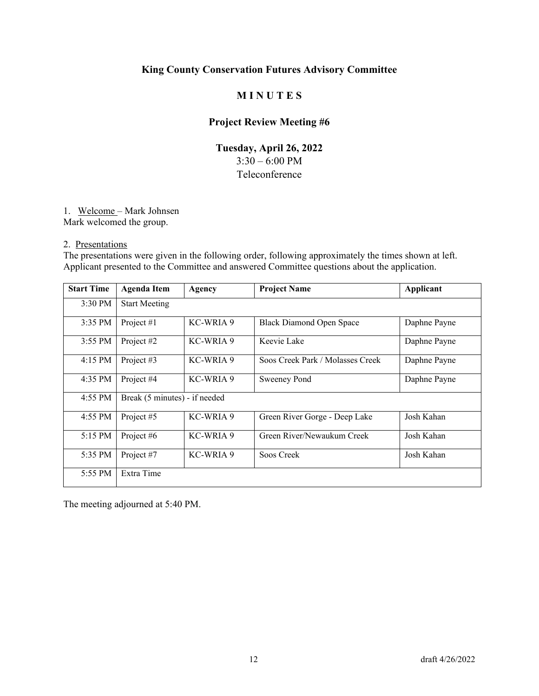# **M I N U T E S**

# **Project Review Meeting #6**

# **Tuesday, April 26, 2022**  3:30 – 6:00 PM Teleconference

#### 1. Welcome – Mark Johnsen

Mark welcomed the group.

#### 2. Presentations

The presentations were given in the following order, following approximately the times shown at left. Applicant presented to the Committee and answered Committee questions about the application.

| <b>Start Time</b> | <b>Agenda Item</b>            | Agency    | <b>Project Name</b>              | Applicant    |
|-------------------|-------------------------------|-----------|----------------------------------|--------------|
| 3:30 PM           | <b>Start Meeting</b>          |           |                                  |              |
| 3:35 PM           | Project #1                    | KC-WRIA 9 | <b>Black Diamond Open Space</b>  | Daphne Payne |
| $3:55$ PM         | Project #2                    | KC-WRIA 9 | Keevie Lake                      | Daphne Payne |
| $4:15$ PM         | Project #3                    | KC-WRIA 9 | Soos Creek Park / Molasses Creek | Daphne Payne |
| 4:35 PM           | Project #4                    | KC-WRIA 9 | Sweeney Pond                     | Daphne Payne |
| $4:55$ PM         | Break (5 minutes) - if needed |           |                                  |              |
| 4:55 PM           | Project #5                    | KC-WRIA 9 | Green River Gorge - Deep Lake    | Josh Kahan   |
| 5:15 PM           | Project #6                    | KC-WRIA 9 | Green River/Newaukum Creek       | Josh Kahan   |
| 5:35 PM           | Project #7                    | KC-WRIA 9 | Soos Creek                       | Josh Kahan   |
| 5:55 PM           | Extra Time                    |           |                                  |              |

The meeting adjourned at 5:40 PM.